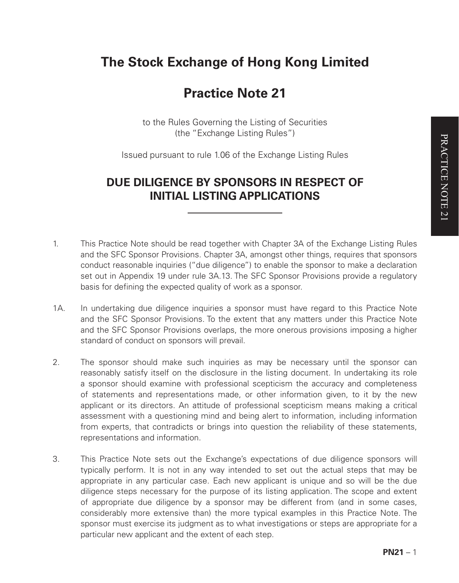# **The Stock Exchange of Hong Kong Limited**

# **Practice Note 21**

to the Rules Governing the Listing of Securities (the "Exchange Listing Rules")

Issued pursuant to rule 1.06 of the Exchange Listing Rules

## **DUE DILIGENCE BY SPONSORS IN RESPECT OF INITIAL LISTING APPLICATIONS**

- 1. This Practice Note should be read together with Chapter 3A of the Exchange Listing Rules and the SFC Sponsor Provisions. Chapter 3A, amongst other things, requires that sponsors conduct reasonable inquiries ("due diligence") to enable the sponsor to make a declaration set out in Appendix 19 under rule 3A.13. The SFC Sponsor Provisions provide a regulatory basis for defining the expected quality of work as a sponsor.
- 1A. In undertaking due diligence inquiries a sponsor must have regard to this Practice Note and the SFC Sponsor Provisions. To the extent that any matters under this Practice Note and the SFC Sponsor Provisions overlaps, the more onerous provisions imposing a higher standard of conduct on sponsors will prevail.
- 2. The sponsor should make such inquiries as may be necessary until the sponsor can reasonably satisfy itself on the disclosure in the listing document. In undertaking its role a sponsor should examine with professional scepticism the accuracy and completeness of statements and representations made, or other information given, to it by the new applicant or its directors. An attitude of professional scepticism means making a critical assessment with a questioning mind and being alert to information, including information from experts, that contradicts or brings into question the reliability of these statements, representations and information.
- 3. This Practice Note sets out the Exchange's expectations of due diligence sponsors will typically perform. It is not in any way intended to set out the actual steps that may be appropriate in any particular case. Each new applicant is unique and so will be the due diligence steps necessary for the purpose of its listing application. The scope and extent of appropriate due diligence by a sponsor may be different from (and in some cases, considerably more extensive than) the more typical examples in this Practice Note. The sponsor must exercise its judgment as to what investigations or steps are appropriate for a particular new applicant and the extent of each step.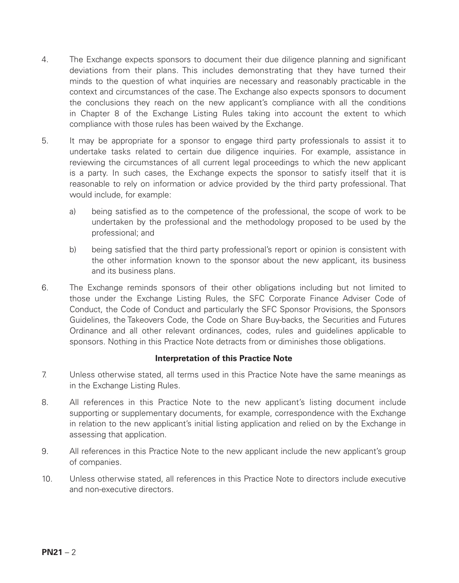- 4. The Exchange expects sponsors to document their due diligence planning and significant deviations from their plans. This includes demonstrating that they have turned their minds to the question of what inquiries are necessary and reasonably practicable in the context and circumstances of the case. The Exchange also expects sponsors to document the conclusions they reach on the new applicant's compliance with all the conditions in Chapter 8 of the Exchange Listing Rules taking into account the extent to which compliance with those rules has been waived by the Exchange.
- 5. It may be appropriate for a sponsor to engage third party professionals to assist it to undertake tasks related to certain due diligence inquiries. For example, assistance in reviewing the circumstances of all current legal proceedings to which the new applicant is a party. In such cases, the Exchange expects the sponsor to satisfy itself that it is reasonable to rely on information or advice provided by the third party professional. That would include, for example:
	- a) being satisfied as to the competence of the professional, the scope of work to be undertaken by the professional and the methodology proposed to be used by the professional; and
	- b) being satisfied that the third party professional's report or opinion is consistent with the other information known to the sponsor about the new applicant, its business and its business plans.
- 6. The Exchange reminds sponsors of their other obligations including but not limited to those under the Exchange Listing Rules, the SFC Corporate Finance Adviser Code of Conduct, the Code of Conduct and particularly the SFC Sponsor Provisions, the Sponsors Guidelines, the Takeovers Code, the Code on Share Buy-backs, the Securities and Futures Ordinance and all other relevant ordinances, codes, rules and guidelines applicable to sponsors. Nothing in this Practice Note detracts from or diminishes those obligations.

#### **Interpretation of this Practice Note**

- 7. Unless otherwise stated, all terms used in this Practice Note have the same meanings as in the Exchange Listing Rules.
- 8. All references in this Practice Note to the new applicant's listing document include supporting or supplementary documents, for example, correspondence with the Exchange in relation to the new applicant's initial listing application and relied on by the Exchange in assessing that application.
- 9. All references in this Practice Note to the new applicant include the new applicant's group of companies.
- 10. Unless otherwise stated, all references in this Practice Note to directors include executive and non-executive directors.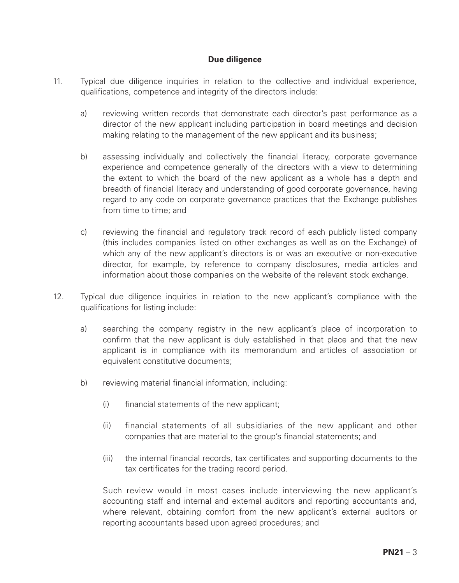### **Due diligence**

- 11. Typical due diligence inquiries in relation to the collective and individual experience, qualifications, competence and integrity of the directors include:
	- a) reviewing written records that demonstrate each director's past performance as a director of the new applicant including participation in board meetings and decision making relating to the management of the new applicant and its business;
	- b) assessing individually and collectively the financial literacy, corporate governance experience and competence generally of the directors with a view to determining the extent to which the board of the new applicant as a whole has a depth and breadth of financial literacy and understanding of good corporate governance, having regard to any code on corporate governance practices that the Exchange publishes from time to time; and
	- c) reviewing the financial and regulatory track record of each publicly listed company (this includes companies listed on other exchanges as well as on the Exchange) of which any of the new applicant's directors is or was an executive or non-executive director, for example, by reference to company disclosures, media articles and information about those companies on the website of the relevant stock exchange.
- 12. Typical due diligence inquiries in relation to the new applicant's compliance with the qualifications for listing include:
	- a) searching the company registry in the new applicant's place of incorporation to confirm that the new applicant is duly established in that place and that the new applicant is in compliance with its memorandum and articles of association or equivalent constitutive documents;
	- b) reviewing material financial information, including:
		- (i) financial statements of the new applicant;
		- (ii) financial statements of all subsidiaries of the new applicant and other companies that are material to the group's financial statements; and
		- (iii) the internal financial records, tax certificates and supporting documents to the tax certificates for the trading record period.

Such review would in most cases include interviewing the new applicant's accounting staff and internal and external auditors and reporting accountants and, where relevant, obtaining comfort from the new applicant's external auditors or reporting accountants based upon agreed procedures; and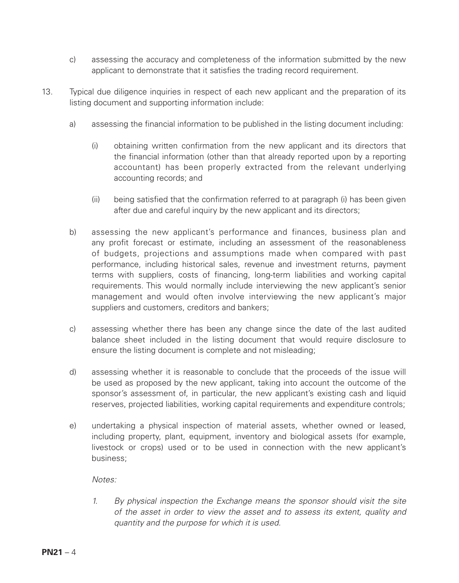- c) assessing the accuracy and completeness of the information submitted by the new applicant to demonstrate that it satisfies the trading record requirement.
- 13. Typical due diligence inquiries in respect of each new applicant and the preparation of its listing document and supporting information include:
	- a) assessing the financial information to be published in the listing document including:
		- (i) obtaining written confirmation from the new applicant and its directors that the financial information (other than that already reported upon by a reporting accountant) has been properly extracted from the relevant underlying accounting records; and
		- (ii) being satisfied that the confirmation referred to at paragraph (i) has been given after due and careful inquiry by the new applicant and its directors;
	- b) assessing the new applicant's performance and finances, business plan and any profit forecast or estimate, including an assessment of the reasonableness of budgets, projections and assumptions made when compared with past performance, including historical sales, revenue and investment returns, payment terms with suppliers, costs of financing, long-term liabilities and working capital requirements. This would normally include interviewing the new applicant's senior management and would often involve interviewing the new applicant's major suppliers and customers, creditors and bankers;
	- c) assessing whether there has been any change since the date of the last audited balance sheet included in the listing document that would require disclosure to ensure the listing document is complete and not misleading;
	- d) assessing whether it is reasonable to conclude that the proceeds of the issue will be used as proposed by the new applicant, taking into account the outcome of the sponsor's assessment of, in particular, the new applicant's existing cash and liquid reserves, projected liabilities, working capital requirements and expenditure controls;
	- e) undertaking a physical inspection of material assets, whether owned or leased, including property, plant, equipment, inventory and biological assets (for example, livestock or crops) used or to be used in connection with the new applicant's business;

*Notes:* 

*1. By physical inspection the Exchange means the sponsor should visit the site of the asset in order to view the asset and to assess its extent, quality and quantity and the purpose for which it is used.*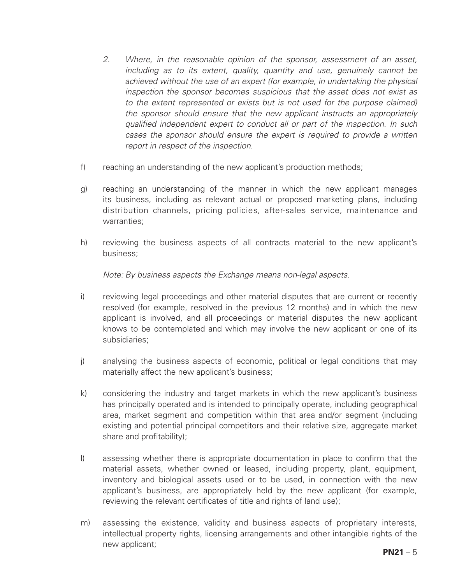- *2. Where, in the reasonable opinion of the sponsor, assessment of an asset, including as to its extent, quality, quantity and use, genuinely cannot be*  achieved without the use of an expert (for example, in undertaking the physical *inspection the sponsor becomes suspicious that the asset does not exist as to the extent represented or exists but is not used for the purpose claimed) the sponsor should ensure that the new applicant instructs an appropriately qualified independent expert to conduct all or part of the inspection. In such*  cases the sponsor should ensure the expert is required to provide a written *report in respect of the inspection.*
- f) reaching an understanding of the new applicant's production methods;
- g) reaching an understanding of the manner in which the new applicant manages its business, including as relevant actual or proposed marketing plans, including distribution channels, pricing policies, after-sales service, maintenance and warranties;
- h) reviewing the business aspects of all contracts material to the new applicant's business;

*Note: By business aspects the Exchange means non-legal aspects.*

- i) reviewing legal proceedings and other material disputes that are current or recently resolved (for example, resolved in the previous 12 months) and in which the new applicant is involved, and all proceedings or material disputes the new applicant knows to be contemplated and which may involve the new applicant or one of its subsidiaries;
- j) analysing the business aspects of economic, political or legal conditions that may materially affect the new applicant's business;
- k) considering the industry and target markets in which the new applicant's business has principally operated and is intended to principally operate, including geographical area, market segment and competition within that area and/or segment (including existing and potential principal competitors and their relative size, aggregate market share and profitability);
- l) assessing whether there is appropriate documentation in place to confirm that the material assets, whether owned or leased, including property, plant, equipment, inventory and biological assets used or to be used, in connection with the new applicant's business, are appropriately held by the new applicant (for example, reviewing the relevant certificates of title and rights of land use);
- m) assessing the existence, validity and business aspects of proprietary interests, intellectual property rights, licensing arrangements and other intangible rights of the new applicant;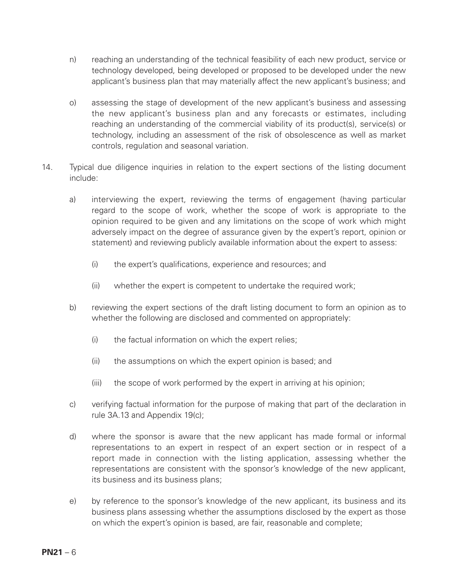- n) reaching an understanding of the technical feasibility of each new product, service or technology developed, being developed or proposed to be developed under the new applicant's business plan that may materially affect the new applicant's business; and
- o) assessing the stage of development of the new applicant's business and assessing the new applicant's business plan and any forecasts or estimates, including reaching an understanding of the commercial viability of its product(s), service(s) or technology, including an assessment of the risk of obsolescence as well as market controls, regulation and seasonal variation.
- 14. Typical due diligence inquiries in relation to the expert sections of the listing document include:
	- a) interviewing the expert, reviewing the terms of engagement (having particular regard to the scope of work, whether the scope of work is appropriate to the opinion required to be given and any limitations on the scope of work which might adversely impact on the degree of assurance given by the expert's report, opinion or statement) and reviewing publicly available information about the expert to assess:
		- (i) the expert's qualifications, experience and resources; and
		- (ii) whether the expert is competent to undertake the required work;
	- b) reviewing the expert sections of the draft listing document to form an opinion as to whether the following are disclosed and commented on appropriately:
		- (i) the factual information on which the expert relies:
		- (ii) the assumptions on which the expert opinion is based; and
		- (iii) the scope of work performed by the expert in arriving at his opinion;
	- c) verifying factual information for the purpose of making that part of the declaration in rule 3A.13 and Appendix 19(c);
	- d) where the sponsor is aware that the new applicant has made formal or informal representations to an expert in respect of an expert section or in respect of a report made in connection with the listing application, assessing whether the representations are consistent with the sponsor's knowledge of the new applicant, its business and its business plans;
	- e) by reference to the sponsor's knowledge of the new applicant, its business and its business plans assessing whether the assumptions disclosed by the expert as those on which the expert's opinion is based, are fair, reasonable and complete;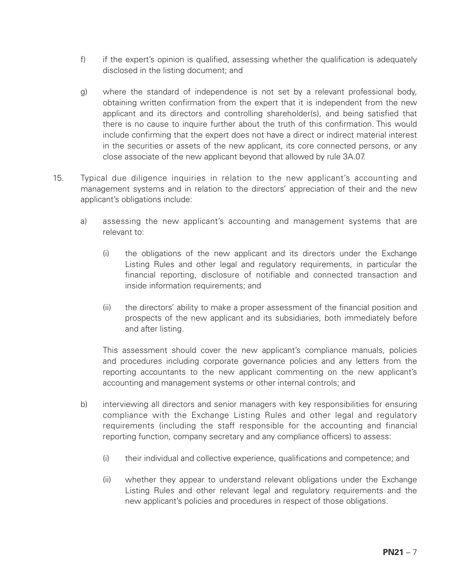- f) if the expert's opinion is qualified, assessing whether the qualification is adequately disclosed in the listing document; and
- g) where the standard of independence is not set by a relevant professional body, obtaining written confirmation from the expert that it is independent from the new applicant and its directors and controlling shareholder(s), and being satisfied that there is no cause to inquire further about the truth of this confirmation. This would include confirming that the expert does not have a direct or indirect material interest in the securities or assets of the new applicant, its core connected persons, or any close associate of the new applicant beyond that allowed by rule 3A.07.
- 15. Typical due diligence inquiries in relation to the new applicant's accounting and management systems and in relation to the directors' appreciation of their and the new applicant's obligations include:
	- a) assessing the new applicant's accounting and management systems that are relevant to:
		- (i) the obligations of the new applicant and its directors under the Exchange Listing Rules and other legal and regulatory requirements, in particular the financial reporting, disclosure of notifiable and connected transaction and inside information requirements; and
		- (ii) the directors' ability to make a proper assessment of the financial position and prospects of the new applicant and its subsidiaries, both immediately before and after listing.

This assessment should cover the new applicant's compliance manuals, policies and procedures including corporate governance policies and any letters from the reporting accountants to the new applicant commenting on the new applicant's accounting and management systems or other internal controls; and

- b) interviewing all directors and senior managers with key responsibilities for ensuring compliance with the Exchange Listing Rules and other legal and regulatory requirements (including the staff responsible for the accounting and financial reporting function, company secretary and any compliance officers) to assess:
	- (i) their individual and collective experience, qualifications and competence; and
	- (ii) whether they appear to understand relevant obligations under the Exchange Listing Rules and other relevant legal and regulatory requirements and the new applicant's policies and procedures in respect of those obligations.